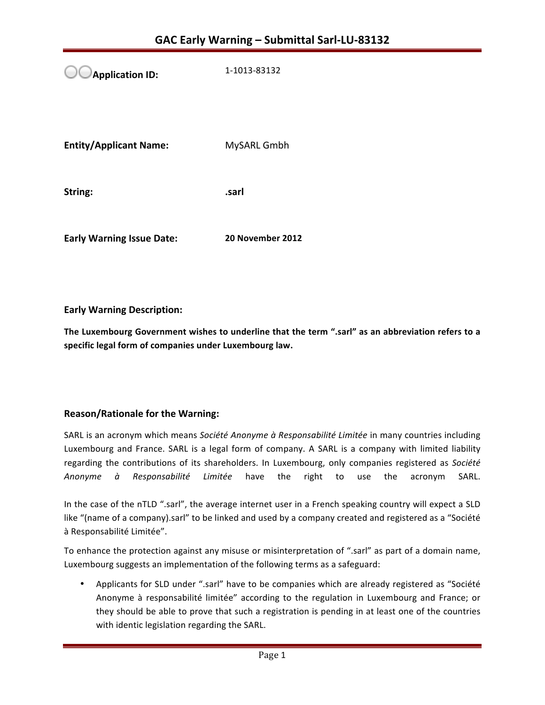**Application ID:** 1-1013-83132

**Entity/Applicant Name:** MySARL Gmbh

**String: .sarl**

**Early Warning Issue Date:** 20 November 2012

**Early Warning Description:**

The Luxembourg Government wishes to underline that the term ".sarl" as an abbreviation refers to a **specific legal form of companies under Luxembourg law.**

# **Reason/Rationale for the Warning:**

SARL is an acronym which means Société Anonyme à Responsabilité Limitée in many countries including Luxembourg and France. SARL is a legal form of company. A SARL is a company with limited liability regarding the contributions of its shareholders. In Luxembourg, only companies registered as Société *Anonyme à Responsabilité Limitée* have the right to use the acronym SARL.

In the case of the nTLD ".sarl", the average internet user in a French speaking country will expect a SLD like "(name of a company).sarl" to be linked and used by a company created and registered as a "Société à Responsabilité Limitée".

To enhance the protection against any misuse or misinterpretation of ".sarl" as part of a domain name, Luxembourg suggests an implementation of the following terms as a safeguard:

• Applicants for SLD under ".sarl" have to be companies which are already registered as "Société Anonyme à responsabilité limitée" according to the regulation in Luxembourg and France; or they should be able to prove that such a registration is pending in at least one of the countries with identic legislation regarding the SARL.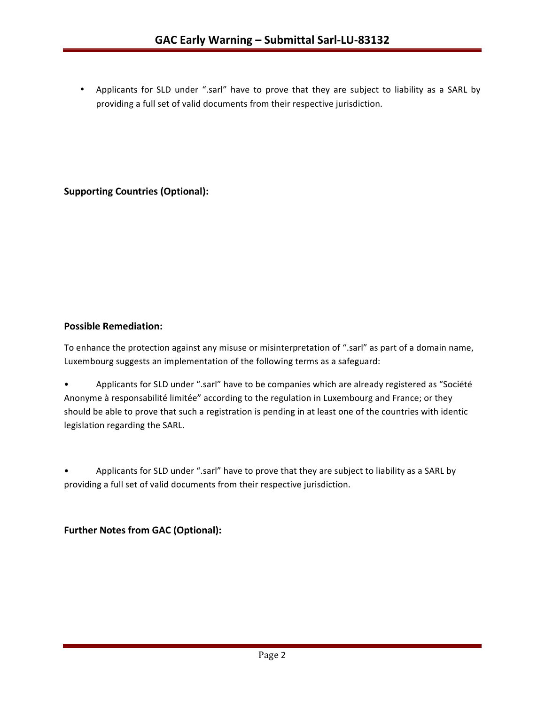• Applicants for SLD under ".sarl" have to prove that they are subject to liability as a SARL by providing a full set of valid documents from their respective jurisdiction.

**Supporting Countries (Optional):** 

## **Possible Remediation:**

To enhance the protection against any misuse or misinterpretation of ".sarl" as part of a domain name, Luxembourg suggests an implementation of the following terms as a safeguard:

• Applicants for SLD under ".sarl" have to be companies which are already registered as "Société Anonyme à responsabilité limitée" according to the regulation in Luxembourg and France; or they should be able to prove that such a registration is pending in at least one of the countries with identic legislation regarding the SARL.

Applicants for SLD under ".sarl" have to prove that they are subject to liability as a SARL by providing a full set of valid documents from their respective jurisdiction.

**Further Notes from GAC (Optional):**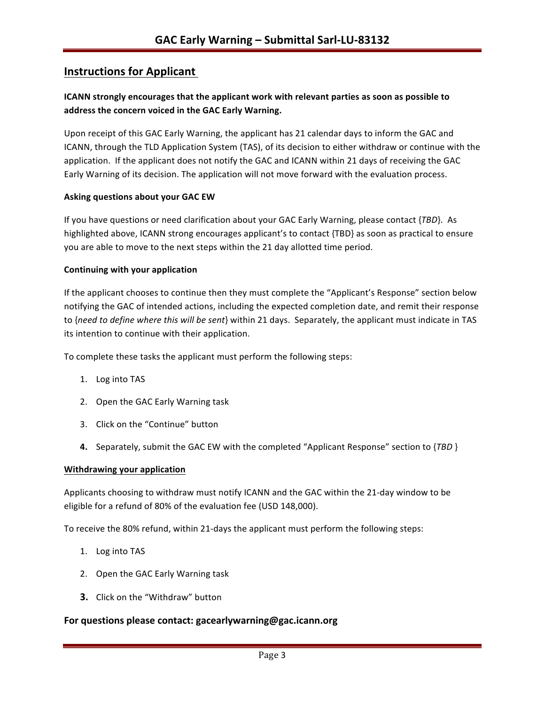# **Instructions for Applicant**

# **ICANN** strongly encourages that the applicant work with relevant parties as soon as possible to address the concern voiced in the GAC Early Warning.

Upon receipt of this GAC Early Warning, the applicant has 21 calendar days to inform the GAC and ICANN, through the TLD Application System (TAS), of its decision to either withdraw or continue with the application. If the applicant does not notify the GAC and ICANN within 21 days of receiving the GAC Early Warning of its decision. The application will not move forward with the evaluation process.

#### **Asking questions about your GAC EW**

If you have questions or need clarification about your GAC Early Warning, please contact {*TBD*}. As highlighted above, ICANN strong encourages applicant's to contact {TBD} as soon as practical to ensure you are able to move to the next steps within the 21 day allotted time period.

#### **Continuing with your application**

If the applicant chooses to continue then they must complete the "Applicant's Response" section below notifying the GAC of intended actions, including the expected completion date, and remit their response to {need to define where this will be sent} within 21 days. Separately, the applicant must indicate in TAS its intention to continue with their application.

To complete these tasks the applicant must perform the following steps:

- 1. Log into TAS
- 2. Open the GAC Early Warning task
- 3. Click on the "Continue" button
- **4.** Separately, submit the GAC EW with the completed "Applicant Response" section to {TBD }

#### **Withdrawing your application**

Applicants choosing to withdraw must notify ICANN and the GAC within the 21-day window to be eligible for a refund of 80% of the evaluation fee (USD 148,000).

To receive the 80% refund, within 21-days the applicant must perform the following steps:

- 1. Log into TAS
- 2. Open the GAC Early Warning task
- **3.** Click on the "Withdraw" button

### For questions please contact: gacearlywarning@gac.icann.org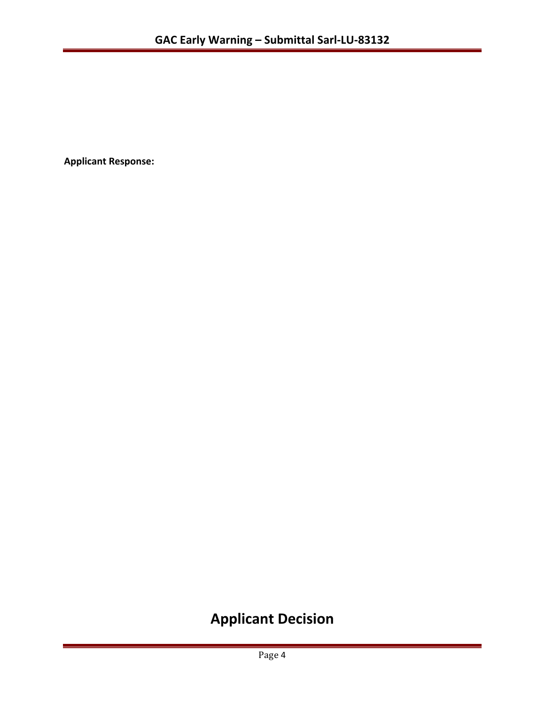**Applicant Response:**

# **Applicant Decision**